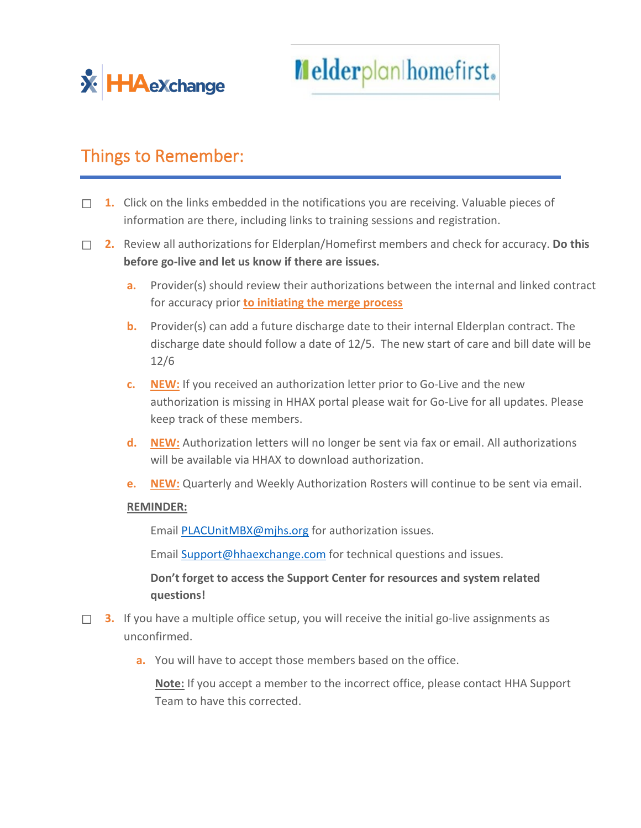

Melderplan homefirst.

## Things to Remember:

- ☐ **1.** Click on the links embedded in the notifications you are receiving. Valuable pieces of information are there, including links to training sessions and registration.
- ☐ **2.** Review all authorizations for Elderplan/Homefirst members and check for accuracy. **Do this before go-live and let us know if there are issues.**
	- **a.** Provider(s) should review their authorizations between the internal and linked contract for accuracy prior **to initiating the merge process**
	- **b.** Provider(s) can add a future discharge date to their internal Elderplan contract. The discharge date should follow a date of 12/5. The new start of care and bill date will be 12/6
	- **c. NEW:** If you received an authorization letter prior to Go-Live and the new authorization is missing in HHAX portal please wait for Go-Live for all updates. Please keep track of these members.
	- **d. NEW:** Authorization letters will no longer be sent via fax or email. All authorizations will be available via HHAX to download authorization.
	- **e. NEW:** Quarterly and Weekly Authorization Rosters will continue to be sent via email.

## **REMINDER:**

Email [PLACUnitMBX@mjhs.org](mailto:PLACUnitMBX@mjhs.org) for authorization issues.

Email [Support@hhaexchange.com](mailto:Support@hhaexchange.com) for technical questions and issues.

**Don't forget to access the Support Center for resources and system related questions!**

- □ **3.** If you have a multiple office setup, you will receive the initial go-live assignments as unconfirmed.
	- **a.** You will have to accept those members based on the office.

**Note:** If you accept a member to the incorrect office, please contact HHA Support Team to have this corrected.